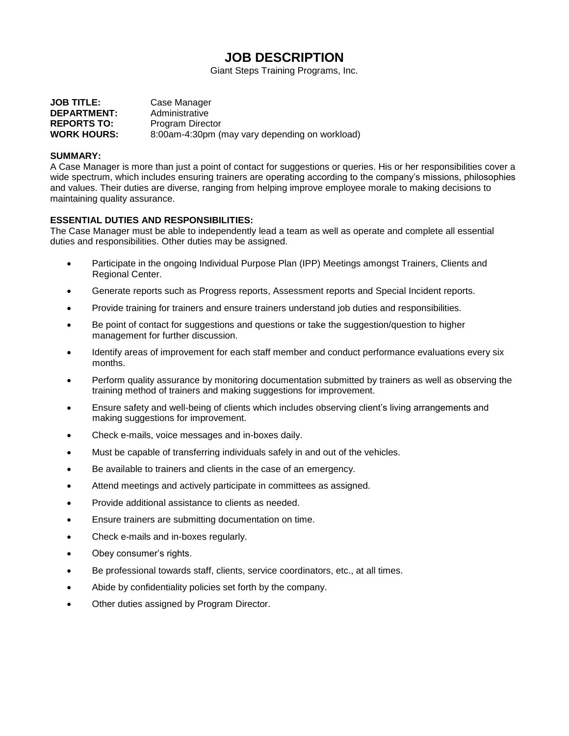# **JOB DESCRIPTION**

Giant Steps Training Programs, Inc.

| <b>JOB TITLE:</b>  | Case Manager                                   |
|--------------------|------------------------------------------------|
| <b>DEPARTMENT:</b> | Administrative                                 |
| <b>REPORTS TO:</b> | Program Director                               |
| <b>WORK HOURS:</b> | 8:00am-4:30pm (may vary depending on workload) |

## **SUMMARY:**

A Case Manager is more than just a point of contact for suggestions or queries. His or her responsibilities cover a wide spectrum, which includes ensuring trainers are operating according to the company's missions, philosophies and values. Their duties are diverse, ranging from helping improve employee morale to making decisions to maintaining quality assurance.

## **ESSENTIAL DUTIES AND RESPONSIBILITIES:**

The Case Manager must be able to independently lead a team as well as operate and complete all essential duties and responsibilities. Other duties may be assigned.

- Participate in the ongoing Individual Purpose Plan (IPP) Meetings amongst Trainers, Clients and Regional Center.
- Generate reports such as Progress reports, Assessment reports and Special Incident reports.
- Provide training for trainers and ensure trainers understand job duties and responsibilities.
- Be point of contact for suggestions and questions or take the suggestion/question to higher management for further discussion.
- Identify areas of improvement for each staff member and conduct performance evaluations every six months.
- Perform quality assurance by monitoring documentation submitted by trainers as well as observing the training method of trainers and making suggestions for improvement.
- Ensure safety and well-being of clients which includes observing client's living arrangements and making suggestions for improvement.
- Check e-mails, voice messages and in-boxes daily.
- Must be capable of transferring individuals safely in and out of the vehicles.
- Be available to trainers and clients in the case of an emergency.
- Attend meetings and actively participate in committees as assigned.
- Provide additional assistance to clients as needed.
- Ensure trainers are submitting documentation on time.
- Check e-mails and in-boxes regularly.
- Obey consumer's rights.
- Be professional towards staff, clients, service coordinators, etc., at all times.
- Abide by confidentiality policies set forth by the company.
- Other duties assigned by Program Director.